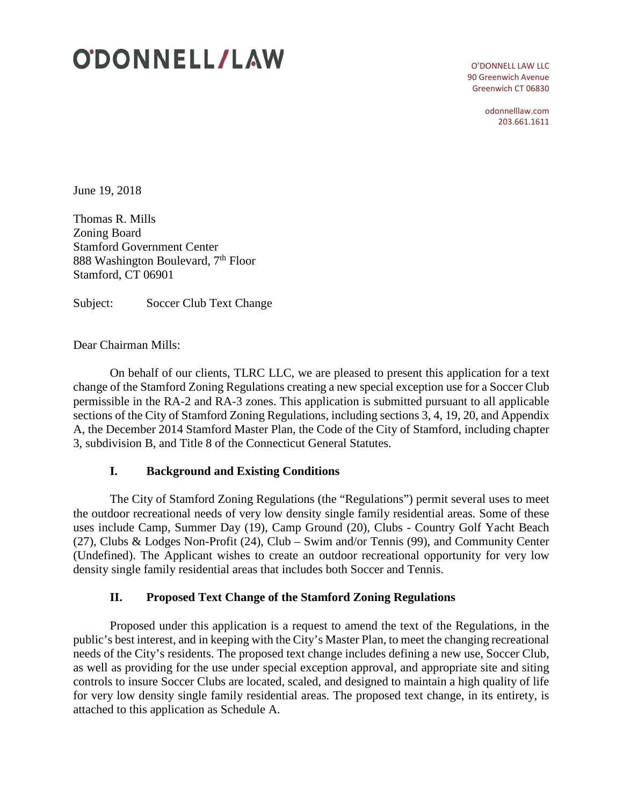# **ODONNELL/LAW**

O'DONNELL LAW LLC 90 Greenwich Avenue Greenwich CT 06830

> odonnelllaw.com 203.661.1611

June 19, 2018

Thomas R. Mills Zoning Board Stamford Government Center 888 Washington Boulevard, 7<sup>th</sup> Floor Stamford, CT 06901

Subject: Soccer Club Text Change

Dear Chairman Mills:

On behalf of our clients, TLRC LLC, we are pleased to present this application for a text change of the Stamford Zoning Regulations creating a new special exception use for a Soccer Club permissible in the RA-2 and RA-3 zones. This application is submitted pursuant to all applicable sections of the City of Stamford Zoning Regulations, including sections 3, 4, 19, 20, and Appendix A, the December 2014 Stamford Master Plan, the Code of the City of Stamford, including chapter 3, subdivision B, and Title 8 of the Connecticut General Statutes.

## **I. Background and Existing Conditions**

The City of Stamford Zoning Regulations (the "Regulations") permit several uses to meet the outdoor recreational needs of very low density single family residential areas. Some of these uses include Camp, Summer Day (19), Camp Ground (20), Clubs - Country Golf Yacht Beach (27), Clubs & Lodges Non-Profit (24), Club – Swim and/or Tennis (99), and Community Center (Undefined). The Applicant wishes to create an outdoor recreational opportunity for very low density single family residential areas that includes both Soccer and Tennis.

## **II. Proposed Text Change of the Stamford Zoning Regulations**

Proposed under this application is a request to amend the text of the Regulations, in the public's best interest, and in keeping with the City's Master Plan, to meet the changing recreational needs of the City's residents. The proposed text change includes defining a new use, Soccer Club, as well as providing for the use under special exception approval, and appropriate site and siting controls to insure Soccer Clubs are located, scaled, and designed to maintain a high quality of life for very low density single family residential areas. The proposed text change, in its entirety, is attached to this application as Schedule A.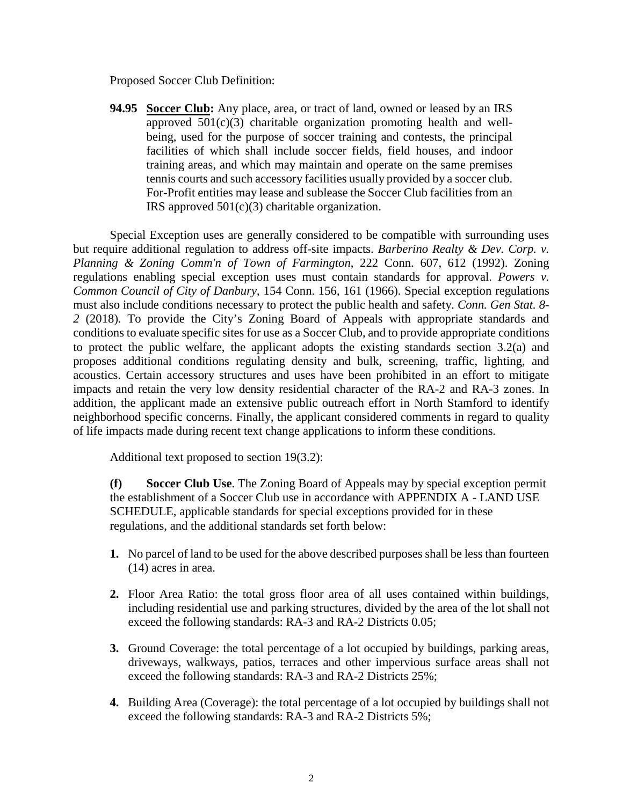Proposed Soccer Club Definition:

**94.95 Soccer Club:** Any place, area, or tract of land, owned or leased by an IRS approved  $501(c)(3)$  charitable organization promoting health and wellbeing, used for the purpose of soccer training and contests, the principal facilities of which shall include soccer fields, field houses, and indoor training areas, and which may maintain and operate on the same premises tennis courts and such accessory facilities usually provided by a soccer club. For-Profit entities may lease and sublease the Soccer Club facilities from an IRS approved 501(c)(3) charitable organization.

Special Exception uses are generally considered to be compatible with surrounding uses but require additional regulation to address off-site impacts. *Barberino Realty & Dev. Corp. v. Planning & Zoning Comm'n of Town of Farmington*, 222 Conn. 607, 612 (1992). Zoning regulations enabling special exception uses must contain standards for approval. *Powers v. Common Council of City of Danbury*, 154 Conn. 156, 161 (1966). Special exception regulations must also include conditions necessary to protect the public health and safety. *Conn. Gen Stat. 8- 2* (2018). To provide the City's Zoning Board of Appeals with appropriate standards and conditions to evaluate specific sites for use as a Soccer Club, and to provide appropriate conditions to protect the public welfare, the applicant adopts the existing standards section 3.2(a) and proposes additional conditions regulating density and bulk, screening, traffic, lighting, and acoustics. Certain accessory structures and uses have been prohibited in an effort to mitigate impacts and retain the very low density residential character of the RA-2 and RA-3 zones. In addition, the applicant made an extensive public outreach effort in North Stamford to identify neighborhood specific concerns. Finally, the applicant considered comments in regard to quality of life impacts made during recent text change applications to inform these conditions.

Additional text proposed to section 19(3.2):

**(f) Soccer Club Use**. The Zoning Board of Appeals may by special exception permit the establishment of a Soccer Club use in accordance with APPENDIX A - LAND USE SCHEDULE, applicable standards for special exceptions provided for in these regulations, and the additional standards set forth below:

- **1.** No parcel of land to be used for the above described purposes shall be less than fourteen (14) acres in area.
- **2.** Floor Area Ratio: the total gross floor area of all uses contained within buildings, including residential use and parking structures, divided by the area of the lot shall not exceed the following standards: RA-3 and RA-2 Districts 0.05;
- **3.** Ground Coverage: the total percentage of a lot occupied by buildings, parking areas, driveways, walkways, patios, terraces and other impervious surface areas shall not exceed the following standards: RA-3 and RA-2 Districts 25%;
- **4.** Building Area (Coverage): the total percentage of a lot occupied by buildings shall not exceed the following standards: RA-3 and RA-2 Districts 5%;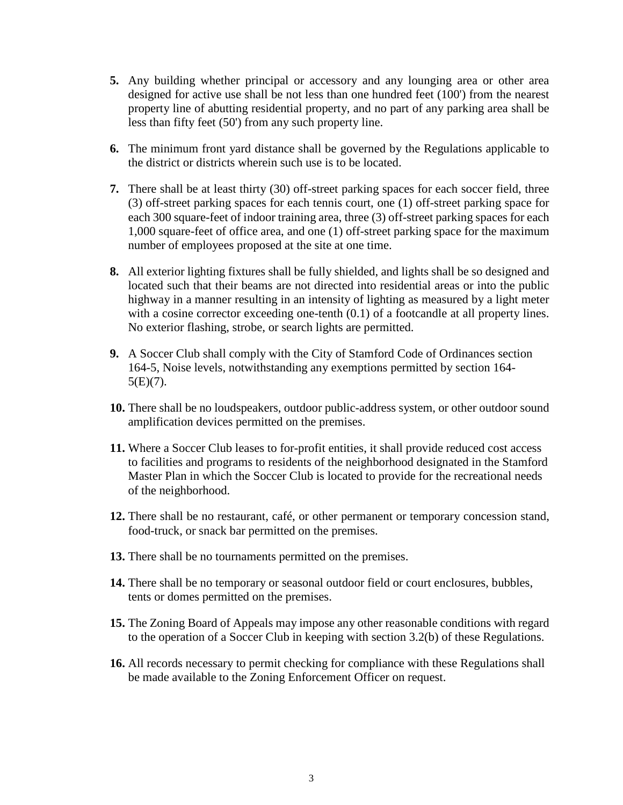- **5.** Any building whether principal or accessory and any lounging area or other area designed for active use shall be not less than one hundred feet (100') from the nearest property line of abutting residential property, and no part of any parking area shall be less than fifty feet (50') from any such property line.
- **6.** The minimum front yard distance shall be governed by the Regulations applicable to the district or districts wherein such use is to be located.
- **7.** There shall be at least thirty (30) off-street parking spaces for each soccer field, three (3) off-street parking spaces for each tennis court, one (1) off-street parking space for each 300 square-feet of indoor training area, three (3) off-street parking spaces for each 1,000 square-feet of office area, and one (1) off-street parking space for the maximum number of employees proposed at the site at one time.
- **8.** All exterior lighting fixtures shall be fully shielded, and lights shall be so designed and located such that their beams are not directed into residential areas or into the public highway in a manner resulting in an intensity of lighting as measured by a light meter with a cosine corrector exceeding one-tenth  $(0.1)$  of a footcandle at all property lines. No exterior flashing, strobe, or search lights are permitted.
- **9.** A Soccer Club shall comply with the City of Stamford Code of Ordinances section 164-5, Noise levels, notwithstanding any exemptions permitted by section 164-  $5(E)(7)$ .
- **10.** There shall be no loudspeakers, outdoor public-address system, or other outdoor sound amplification devices permitted on the premises.
- **11.** Where a Soccer Club leases to for-profit entities, it shall provide reduced cost access to facilities and programs to residents of the neighborhood designated in the Stamford Master Plan in which the Soccer Club is located to provide for the recreational needs of the neighborhood.
- **12.** There shall be no restaurant, café, or other permanent or temporary concession stand, food-truck, or snack bar permitted on the premises.
- **13.** There shall be no tournaments permitted on the premises.
- **14.** There shall be no temporary or seasonal outdoor field or court enclosures, bubbles, tents or domes permitted on the premises.
- **15.** The Zoning Board of Appeals may impose any other reasonable conditions with regard to the operation of a Soccer Club in keeping with section 3.2(b) of these Regulations.
- **16.** All records necessary to permit checking for compliance with these Regulations shall be made available to the Zoning Enforcement Officer on request.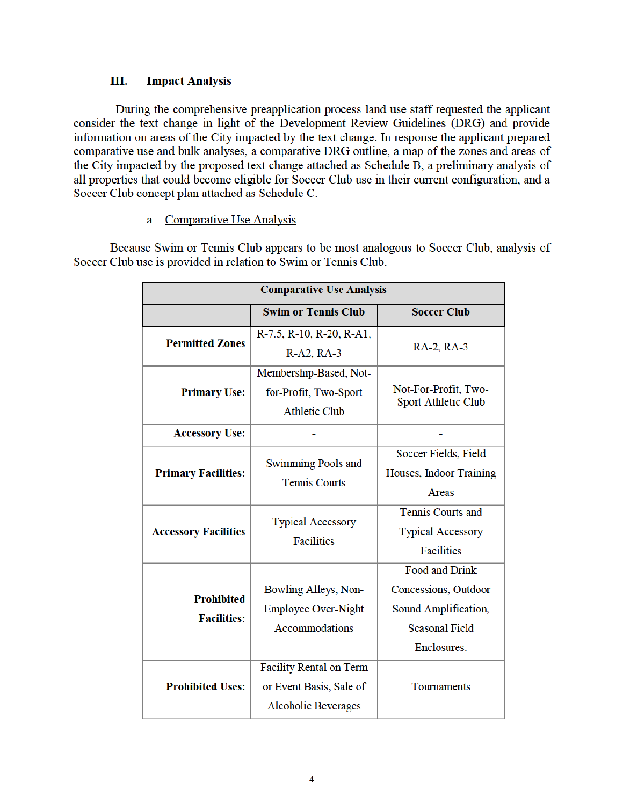#### Ш. **Impact Analysis**

During the comprehensive preapplication process land use staff requested the applicant consider the text change in light of the Development Review Guidelines (DRG) and provide information on areas of the City impacted by the text change. In response the applicant prepared comparative use and bulk analyses, a comparative DRG outline, a map of the zones and areas of the City impacted by the proposed text change attached as Schedule B, a preliminary analysis of all properties that could become eligible for Soccer Club use in their current configuration, and a Soccer Club concept plan attached as Schedule C.

## a. Comparative Use Analysis

Because Swim or Tennis Club appears to be most analogous to Soccer Club, analysis of Soccer Club use is provided in relation to Swim or Tennis Club.

| <b>Comparative Use Analysis</b>         |                                                   |                                                    |  |
|-----------------------------------------|---------------------------------------------------|----------------------------------------------------|--|
|                                         | <b>Swim or Tennis Club</b>                        | <b>Soccer Club</b>                                 |  |
| <b>Permitted Zones</b>                  | R-7.5, R-10, R-20, R-A1,                          |                                                    |  |
|                                         | R-A2, RA-3                                        | RA-2, RA-3                                         |  |
|                                         | Membership-Based, Not-                            |                                                    |  |
| <b>Primary Use:</b>                     | for-Profit, Two-Sport                             | Not-For-Profit, Two-<br><b>Sport Athletic Club</b> |  |
|                                         | <b>Athletic Club</b>                              |                                                    |  |
| <b>Accessory Use:</b>                   |                                                   |                                                    |  |
| <b>Primary Facilities:</b>              | <b>Swimming Pools and</b><br><b>Tennis Courts</b> | Soccer Fields, Field                               |  |
|                                         |                                                   | Houses, Indoor Training                            |  |
|                                         |                                                   | Areas                                              |  |
| <b>Accessory Facilities</b>             | <b>Typical Accessory</b><br><b>Facilities</b>     | <b>Tennis Courts and</b>                           |  |
|                                         |                                                   | <b>Typical Accessory</b>                           |  |
|                                         |                                                   | <b>Facilities</b>                                  |  |
|                                         |                                                   | <b>Food and Drink</b>                              |  |
| <b>Prohibited</b><br><b>Facilities:</b> | Bowling Alleys, Non-                              | Concessions, Outdoor                               |  |
|                                         | <b>Employee Over-Night</b>                        | Sound Amplification,                               |  |
|                                         | <b>Accommodations</b>                             | <b>Seasonal Field</b>                              |  |
|                                         |                                                   | Enclosures.                                        |  |
| <b>Prohibited Uses:</b>                 | <b>Facility Rental on Term</b>                    |                                                    |  |
|                                         | or Event Basis, Sale of                           | Tournaments                                        |  |
|                                         | <b>Alcoholic Beverages</b>                        |                                                    |  |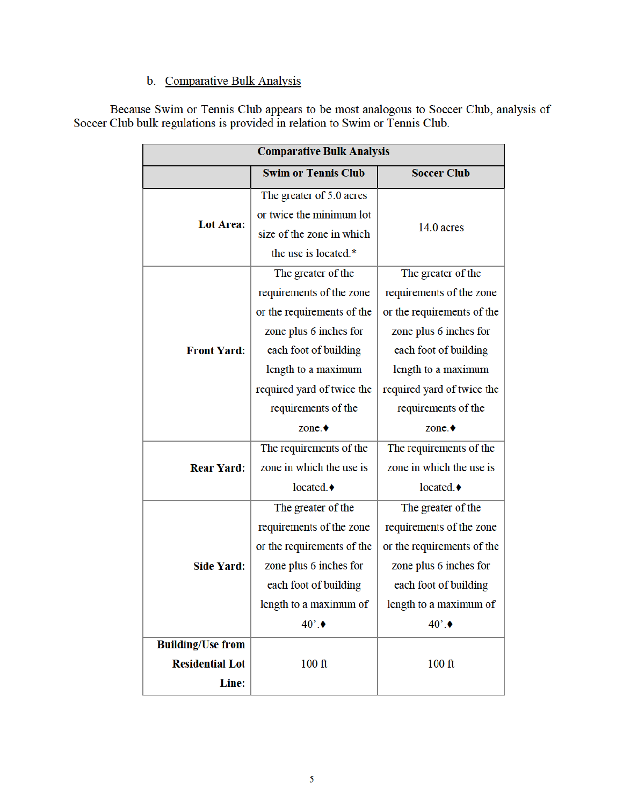## b. Comparative Bulk Analysis

Because Swim or Tennis Club appears to be most analogous to Soccer Club, analysis of Soccer Club bulk regulations is provided in relation to Swim or Tennis Club.

| <b>Comparative Bulk Analysis</b>                            |                                                                                                                                                                                                                                |                                                                                                                                                                                                                      |  |
|-------------------------------------------------------------|--------------------------------------------------------------------------------------------------------------------------------------------------------------------------------------------------------------------------------|----------------------------------------------------------------------------------------------------------------------------------------------------------------------------------------------------------------------|--|
|                                                             | <b>Swim or Tennis Club</b>                                                                                                                                                                                                     | <b>Soccer Club</b>                                                                                                                                                                                                   |  |
| <b>Lot Area:</b>                                            | The greater of 5.0 acres<br>or twice the minimum lot<br>size of the zone in which<br>the use is located.*                                                                                                                      | 14.0 acres                                                                                                                                                                                                           |  |
| <b>Front Yard:</b>                                          | The greater of the<br>requirements of the zone<br>or the requirements of the<br>zone plus 6 inches for<br>each foot of building<br>length to a maximum<br>required yard of twice the<br>requirements of the<br>zone. $\bullet$ | The greater of the<br>requirements of the zone<br>or the requirements of the<br>zone plus 6 inches for<br>each foot of building<br>length to a maximum<br>required yard of twice the<br>requirements of the<br>zone. |  |
| <b>Rear Yard:</b>                                           | The requirements of the<br>zone in which the use is<br>located. $\bullet$                                                                                                                                                      | The requirements of the<br>zone in which the use is<br>located.♦                                                                                                                                                     |  |
| <b>Side Yard:</b>                                           | The greater of the<br>requirements of the zone<br>or the requirements of the<br>zone plus 6 inches for<br>each foot of building<br>length to a maximum of<br>$40^\circ$ .                                                      | The greater of the<br>requirements of the zone<br>or the requirements of the<br>zone plus 6 inches for<br>each foot of building<br>length to a maximum of<br>$40^\circ$ .                                            |  |
| <b>Building/Use from</b><br><b>Residential Lot</b><br>Line: | $100$ ft                                                                                                                                                                                                                       | $100$ ft                                                                                                                                                                                                             |  |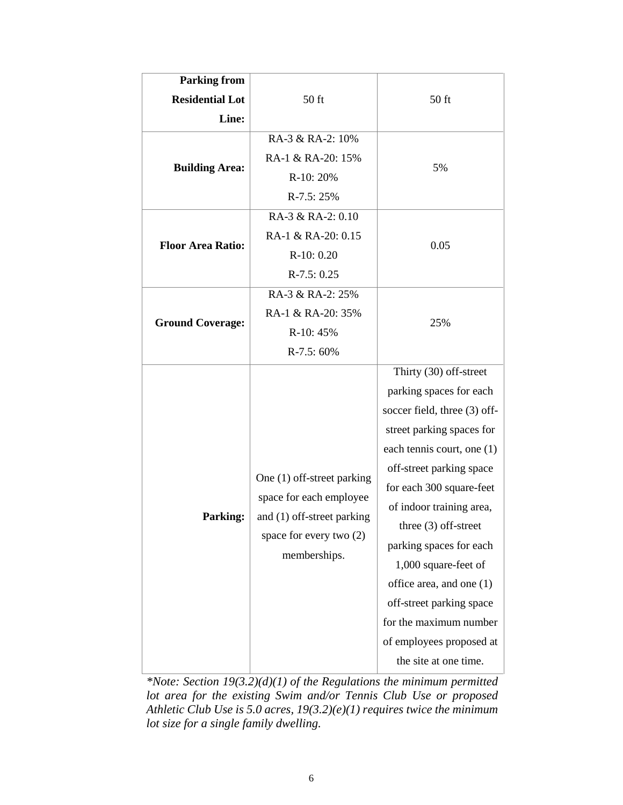| <b>Parking from</b>      |                                                                                                                                |                              |
|--------------------------|--------------------------------------------------------------------------------------------------------------------------------|------------------------------|
| <b>Residential Lot</b>   | 50 ft                                                                                                                          | 50 ft                        |
| Line:                    |                                                                                                                                |                              |
| <b>Building Area:</b>    | RA-3 & RA-2: 10%                                                                                                               | 5%                           |
|                          | RA-1 & RA-20: 15%                                                                                                              |                              |
|                          | R-10: 20%                                                                                                                      |                              |
|                          | $R-7.5:25%$                                                                                                                    |                              |
| <b>Floor Area Ratio:</b> | RA-3 & RA-2: 0.10                                                                                                              | 0.05                         |
|                          | RA-1 & RA-20: 0.15                                                                                                             |                              |
|                          | $R-10:0.20$                                                                                                                    |                              |
|                          | $R-7.5: 0.25$                                                                                                                  |                              |
| <b>Ground Coverage:</b>  | RA-3 & RA-2: 25%                                                                                                               |                              |
|                          | RA-1 & RA-20: 35%                                                                                                              | 25%                          |
|                          | R-10: 45%                                                                                                                      |                              |
|                          | $R-7.5:60%$                                                                                                                    |                              |
|                          | One (1) off-street parking<br>space for each employee<br>and (1) off-street parking<br>space for every two (2)<br>memberships. | Thirty (30) off-street       |
|                          |                                                                                                                                | parking spaces for each      |
|                          |                                                                                                                                | soccer field, three (3) off- |
|                          |                                                                                                                                | street parking spaces for    |
|                          |                                                                                                                                | each tennis court, one (1)   |
| <b>Parking:</b>          |                                                                                                                                | off-street parking space     |
|                          |                                                                                                                                | for each 300 square-feet     |
|                          |                                                                                                                                | of indoor training area,     |
|                          |                                                                                                                                | three $(3)$ off-street       |
|                          |                                                                                                                                | parking spaces for each      |
|                          |                                                                                                                                | 1,000 square-feet of         |
|                          |                                                                                                                                | office area, and one (1)     |
|                          |                                                                                                                                | off-street parking space     |
|                          |                                                                                                                                | for the maximum number       |
|                          |                                                                                                                                | of employees proposed at     |
|                          |                                                                                                                                | the site at one time.        |

*\*Note: Section 19(3.2)(d)(1) of the Regulations the minimum permitted lot area for the existing Swim and/or Tennis Club Use or proposed Athletic Club Use is 5.0 acres, 19(3.2)(e)(1) requires twice the minimum lot size for a single family dwelling.*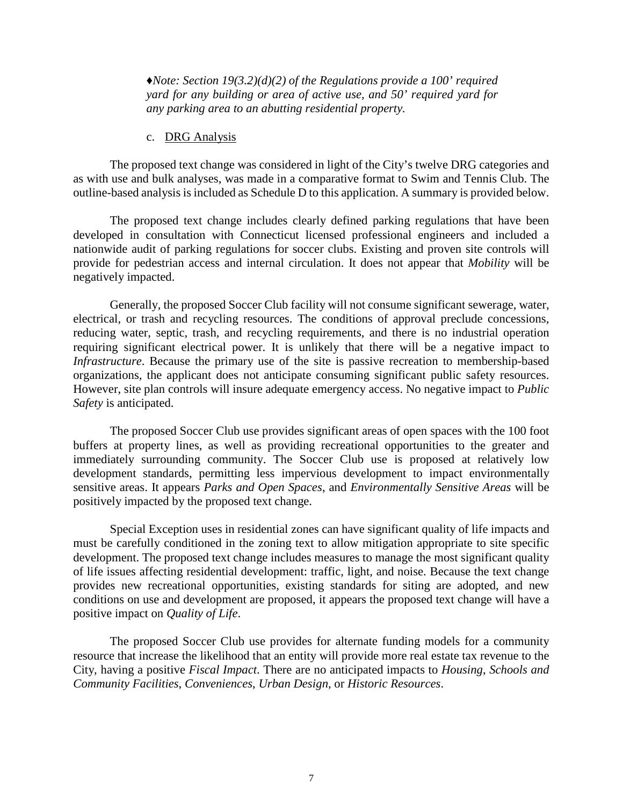*♦Note: Section 19(3.2)(d)(2) of the Regulations provide a 100' required yard for any building or area of active use, and 50' required yard for any parking area to an abutting residential property.*

#### c. DRG Analysis

The proposed text change was considered in light of the City's twelve DRG categories and as with use and bulk analyses, was made in a comparative format to Swim and Tennis Club. The outline-based analysis is included as Schedule D to this application. A summary is provided below.

The proposed text change includes clearly defined parking regulations that have been developed in consultation with Connecticut licensed professional engineers and included a nationwide audit of parking regulations for soccer clubs. Existing and proven site controls will provide for pedestrian access and internal circulation. It does not appear that *Mobility* will be negatively impacted.

Generally, the proposed Soccer Club facility will not consume significant sewerage, water, electrical, or trash and recycling resources. The conditions of approval preclude concessions, reducing water, septic, trash, and recycling requirements, and there is no industrial operation requiring significant electrical power. It is unlikely that there will be a negative impact to *Infrastructure*. Because the primary use of the site is passive recreation to membership-based organizations, the applicant does not anticipate consuming significant public safety resources. However, site plan controls will insure adequate emergency access. No negative impact to *Public Safety* is anticipated.

The proposed Soccer Club use provides significant areas of open spaces with the 100 foot buffers at property lines, as well as providing recreational opportunities to the greater and immediately surrounding community. The Soccer Club use is proposed at relatively low development standards, permitting less impervious development to impact environmentally sensitive areas. It appears *Parks and Open Spaces*, and *Environmentally Sensitive Areas* will be positively impacted by the proposed text change.

Special Exception uses in residential zones can have significant quality of life impacts and must be carefully conditioned in the zoning text to allow mitigation appropriate to site specific development. The proposed text change includes measures to manage the most significant quality of life issues affecting residential development: traffic, light, and noise. Because the text change provides new recreational opportunities, existing standards for siting are adopted, and new conditions on use and development are proposed, it appears the proposed text change will have a positive impact on *Quality of Life*.

The proposed Soccer Club use provides for alternate funding models for a community resource that increase the likelihood that an entity will provide more real estate tax revenue to the City, having a positive *Fiscal Impact*. There are no anticipated impacts to *Housing*, *Schools and Community Facilities*, *Conveniences*, *Urban Design*, or *Historic Resources*.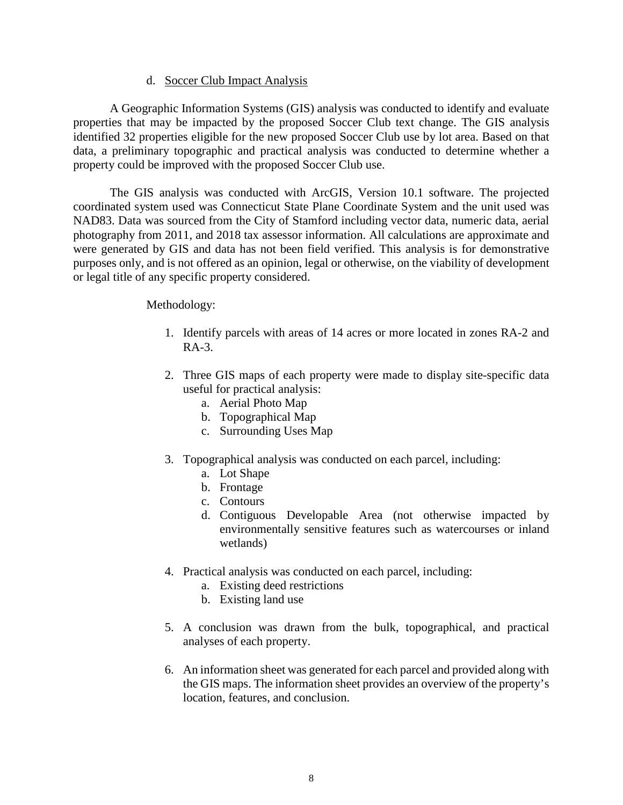#### d. Soccer Club Impact Analysis

A Geographic Information Systems (GIS) analysis was conducted to identify and evaluate properties that may be impacted by the proposed Soccer Club text change. The GIS analysis identified 32 properties eligible for the new proposed Soccer Club use by lot area. Based on that data, a preliminary topographic and practical analysis was conducted to determine whether a property could be improved with the proposed Soccer Club use.

The GIS analysis was conducted with ArcGIS, Version 10.1 software. The projected coordinated system used was Connecticut State Plane Coordinate System and the unit used was NAD83. Data was sourced from the City of Stamford including vector data, numeric data, aerial photography from 2011, and 2018 tax assessor information. All calculations are approximate and were generated by GIS and data has not been field verified. This analysis is for demonstrative purposes only, and is not offered as an opinion, legal or otherwise, on the viability of development or legal title of any specific property considered.

#### Methodology:

- 1. Identify parcels with areas of 14 acres or more located in zones RA-2 and  $RA-3$ .
- 2. Three GIS maps of each property were made to display site-specific data useful for practical analysis:
	- a. Aerial Photo Map
	- b. Topographical Map
	- c. Surrounding Uses Map
- 3. Topographical analysis was conducted on each parcel, including:
	- a. Lot Shape
	- b. Frontage
	- c. Contours
	- d. Contiguous Developable Area (not otherwise impacted by environmentally sensitive features such as watercourses or inland wetlands)
- 4. Practical analysis was conducted on each parcel, including:
	- a. Existing deed restrictions
	- b. Existing land use
- 5. A conclusion was drawn from the bulk, topographical, and practical analyses of each property.
- 6. An information sheet was generated for each parcel and provided along with the GIS maps. The information sheet provides an overview of the property's location, features, and conclusion.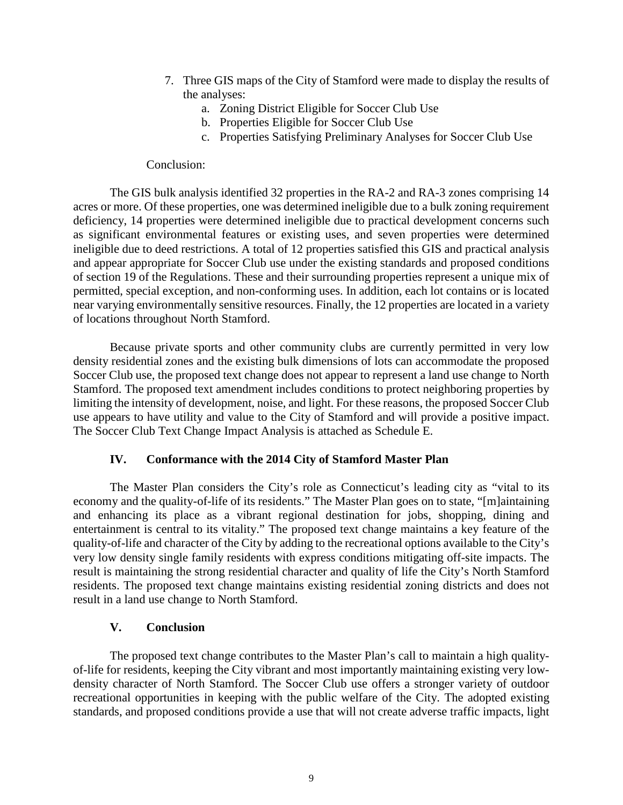- 7. Three GIS maps of the City of Stamford were made to display the results of the analyses:
	- a. Zoning District Eligible for Soccer Club Use
	- b. Properties Eligible for Soccer Club Use
	- c. Properties Satisfying Preliminary Analyses for Soccer Club Use

#### Conclusion:

The GIS bulk analysis identified 32 properties in the RA-2 and RA-3 zones comprising 14 acres or more. Of these properties, one was determined ineligible due to a bulk zoning requirement deficiency, 14 properties were determined ineligible due to practical development concerns such as significant environmental features or existing uses, and seven properties were determined ineligible due to deed restrictions. A total of 12 properties satisfied this GIS and practical analysis and appear appropriate for Soccer Club use under the existing standards and proposed conditions of section 19 of the Regulations. These and their surrounding properties represent a unique mix of permitted, special exception, and non-conforming uses. In addition, each lot contains or is located near varying environmentally sensitive resources. Finally, the 12 properties are located in a variety of locations throughout North Stamford.

Because private sports and other community clubs are currently permitted in very low density residential zones and the existing bulk dimensions of lots can accommodate the proposed Soccer Club use, the proposed text change does not appear to represent a land use change to North Stamford. The proposed text amendment includes conditions to protect neighboring properties by limiting the intensity of development, noise, and light. For these reasons, the proposed Soccer Club use appears to have utility and value to the City of Stamford and will provide a positive impact. The Soccer Club Text Change Impact Analysis is attached as Schedule E.

## **IV. Conformance with the 2014 City of Stamford Master Plan**

The Master Plan considers the City's role as Connecticut's leading city as "vital to its economy and the quality-of-life of its residents." The Master Plan goes on to state, "[m]aintaining and enhancing its place as a vibrant regional destination for jobs, shopping, dining and entertainment is central to its vitality." The proposed text change maintains a key feature of the quality-of-life and character of the City by adding to the recreational options available to the City's very low density single family residents with express conditions mitigating off-site impacts. The result is maintaining the strong residential character and quality of life the City's North Stamford residents. The proposed text change maintains existing residential zoning districts and does not result in a land use change to North Stamford.

## **V. Conclusion**

The proposed text change contributes to the Master Plan's call to maintain a high qualityof-life for residents, keeping the City vibrant and most importantly maintaining existing very lowdensity character of North Stamford. The Soccer Club use offers a stronger variety of outdoor recreational opportunities in keeping with the public welfare of the City. The adopted existing standards, and proposed conditions provide a use that will not create adverse traffic impacts, light